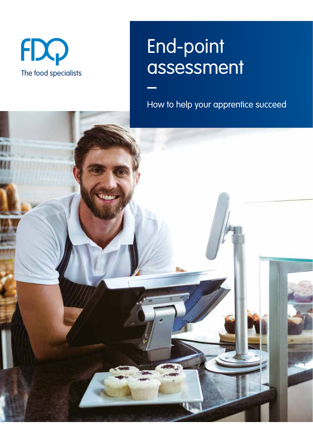

## End-point assessment –

How to help your apprentice succeed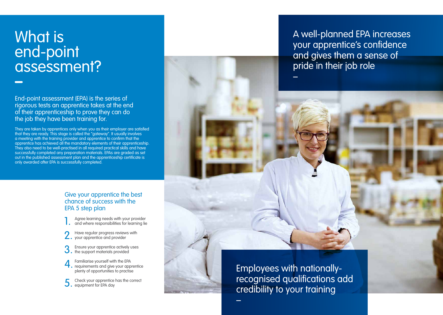# What is end-point assessment? **–**

End-point assessment (EPA) is the series of rigorous tests an apprentice takes at the end of their apprenticeship to prove they can do the job they have been training for.

They are taken by apprentices only when you as their employer are satisfied that they are ready. This stage is called the "gateway". It usually involves a meeting with the training provider and apprentice to confirm that the apprentice has achieved all the mandatory elements of their apprenticeship. They also need to be well-practised in all required practical skills and have successfully completed any preparation materials. EPAs are graded as set out in the published assessment plan and the apprenticeship certificate is only awarded after EPA is successfully completed.

#### Give your apprentice the best chance of success with the EPA 5 step plan

1. Agree learning needs with your provider<br>
3. and where responsibilities for learning lie

Have regular progress reviews with your apprentice and provider

Ensure your apprentice actively uses the support materials provided

4. Familiarise yourself with the EPA requirements and give your apprentice plenty of opportunities to practise

5. Check your apprentice has the correct equipment for EPA day



Employees with nationallyrecognised qualifications add credibility to your training